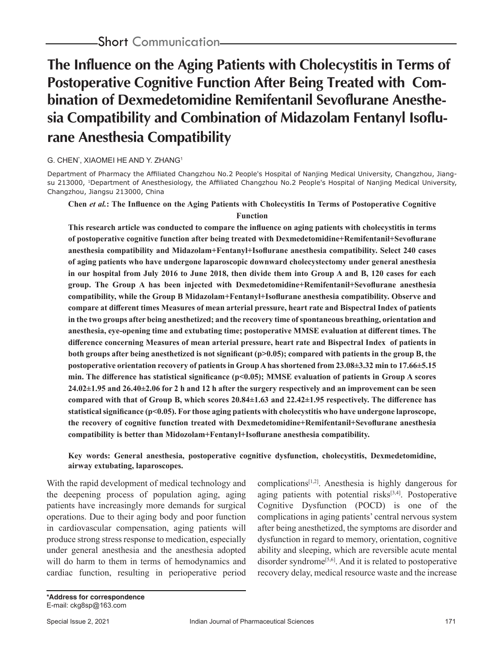# **The Influence on the Aging Patients with Cholecystitis in Terms of Postoperative Cognitive Function After Being Treated with Combination of Dexmedetomidine Remifentanil Sevoflurane Anesthesia Compatibility and Combination of Midazolam Fentanyl Isoflurane Anesthesia Compatibility**

## G. CHEN\* , XIAOMEI HE AND Y. ZHANG1

Department of Pharmacy the Affiliated Changzhou No.2 People's Hospital of Nanjing Medical University, Changzhou, Jiangsu 213000, <sup>1</sup>Department of Anesthesiology, the Affiliated Changzhou No.2 People's Hospital of Nanjing Medical University, Changzhou, Jiangsu 213000, China

## **Chen** *et al.***: The Influence on the Aging Patients with Cholecystitis In Terms of Postoperative Cognitive Function**

**This research article was conducted to compare the influence on aging patients with cholecystitis in terms of postoperative cognitive function after being treated with Dexmedetomidine+Remifentanil+Sevoflurane anesthesia compatibility and Midazolam+Fentanyl+Isoflurane anesthesia compatibility. Select 240 cases of aging patients who have undergone laparoscopic downward cholecystectomy under general anesthesia in our hospital from July 2016 to June 2018, then divide them into Group A and B, 120 cases for each group. The Group A has been injected with Dexmedetomidine+Remifentanil+Sevoflurane anesthesia compatibility, while the Group B Midazolam+Fentanyl+Isoflurane anesthesia compatibility. Observe and compare at different times Measures of mean arterial pressure, heart rate and Bispectral Index of patients in the two groups after being anesthetized; and the recovery time of spontaneous breathing, orientation and anesthesia, eye-opening time and extubating time; postoperative MMSE evaluation at different times. The difference concerning Measures of mean arterial pressure, heart rate and Bispectral Index of patients in both groups after being anesthetized is not significant (p>0.05); compared with patients in the group B, the postoperative orientation recovery of patients in Group A has shortened from 23.08±3.32 min to 17.66±5.15**  min. The difference has statistical significance (p<0.05); MMSE evaluation of patients in Group A scores **24.02±1.95 and 26.40±2.06 for 2 h and 12 h after the surgery respectively and an improvement can be seen compared with that of Group B, which scores 20.84±1.63 and 22.42±1.95 respectively. The difference has statistical significance (p<0.05). For those aging patients with cholecystitis who have undergone laproscope, the recovery of cognitive function treated with Dexmedetomidine+Remifentanil+Sevoflurane anesthesia compatibility is better than Midozolam+Fentanyl+Isoflurane anesthesia compatibility.**

#### **Key words: General anesthesia, postoperative cognitive dysfunction, cholecystitis, Dexmedetomidine, airway extubating, laparoscopes.**

With the rapid development of medical technology and the deepening process of population aging, aging patients have increasingly more demands for surgical operations. Due to their aging body and poor function in cardiovascular compensation, aging patients will produce strong stress response to medication, especially under general anesthesia and the anesthesia adopted will do harm to them in terms of hemodynamics and cardiac function, resulting in perioperative period complications[1,2]. Anesthesia is highly dangerous for aging patients with potential risks $[3,4]$ . Postoperative Cognitive Dysfunction (POCD) is one of the complications in aging patients' central nervous system after being anesthetized, the symptoms are disorder and dysfunction in regard to memory, orientation, cognitive ability and sleeping, which are reversible acute mental disorder syndrome<sup>[5,6]</sup>. And it is related to postoperative recovery delay, medical resource waste and the increase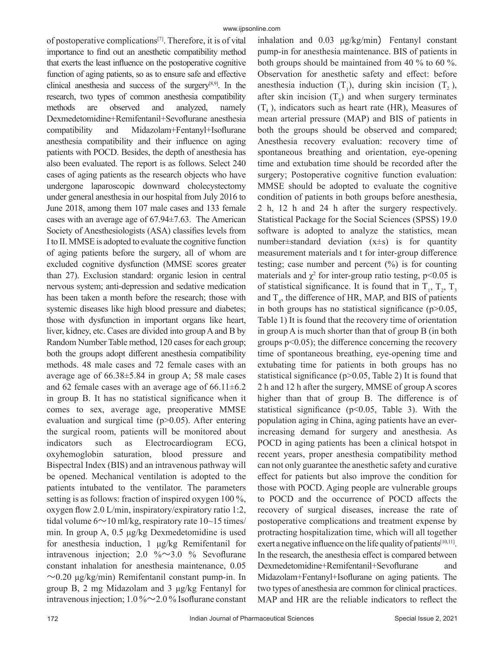of postoperative complications[7]. Therefore, it is of vital importance to find out an anesthetic compatibility method that exerts the least influence on the postoperative cognitive function of aging patients, so as to ensure safe and effective clinical anesthesia and success of the surgery[8,9]. In the research, two types of common anesthesia compatibility methods are observed and analyzed, namely Dexmedetomidine+Remifentanil+Sevoflurane anesthesia compatibility and Midazolam+Fentanyl+Isoflurane anesthesia compatibility and their influence on aging patients with POCD. Besides, the depth of anesthesia has also been evaluated. The report is as follows. Select 240 cases of aging patients as the research objects who have undergone laparoscopic downward cholecystectomy under general anesthesia in our hospital from July 2016 to June 2018, among them 107 male cases and 133 female cases with an average age of 67.94±7.63. The American Society of Anesthesiologists (ASA) classifies levels from I to II. MMSE is adopted to evaluate the cognitive function of aging patients before the surgery, all of whom are excluded cognitive dysfunction (MMSE scores greater than 27). Exclusion standard: organic lesion in central nervous system; anti-depression and sedative medication has been taken a month before the research; those with systemic diseases like high blood pressure and diabetes; those with dysfunction in important organs like heart, liver, kidney, etc. Cases are divided into group A and B by Random Number Table method, 120 cases for each group; both the groups adopt different anesthesia compatibility methods. 48 male cases and 72 female cases with an average age of 66.38±5.84 in group A; 58 male cases and 62 female cases with an average age of  $66.11 \pm 6.2$ in group B. It has no statistical significance when it comes to sex, average age, preoperative MMSE evaluation and surgical time  $(p>0.05)$ . After entering the surgical room, patients will be monitored about indicators such as Electrocardiogram ECG, oxyhemoglobin saturation, blood pressure and Bispectral Index (BIS) and an intravenous pathway will be opened. Mechanical ventilation is adopted to the patients intubated to the ventilator. The parameters setting is as follows: fraction of inspired oxygen 100 %, oxygen flow 2.0 L/min, inspiratory/expiratory ratio 1:2, tidal volume  $6 \sim 10$  ml/kg, respiratory rate  $10 \sim 15$  times/ min. In group A, 0.5 μg/kg Dexmedetomidine is used for anesthesia induction, 1 μg/kg Remifentanil for intravenous injection; 2.0 % $\sim$ 3.0 % Sevoflurane constant inhalation for anesthesia maintenance, 0.05  $\sim$ 0.20 μg/kg/min) Remifentanil constant pump-in. In group B, 2 mg Midazolam and 3 μg/kg Fentanyl for intravenous injection;  $1.0\% \sim 2.0\%$  Isoflurane constant

inhalation and 0.03 μg/kg/min) Fentanyl constant pump-in for anesthesia maintenance. BIS of patients in both groups should be maintained from 40 % to 60 %. Observation for anesthetic safety and effect: before anesthesia induction  $(T_1)$ , during skin incision  $(T_2)$ , after skin incision  $(T_3)$  and when surgery terminates mean arterial pressure (MAP) and BIS of patients in both the groups should be observed and compared; Anesthesia recovery evaluation: recovery time of spontaneous breathing and orientation, eye-opening time and extubation time should be recorded after the surgery; Postoperative cognitive function evaluation: MMSE should be adopted to evaluate the cognitive condition of patients in both groups before anesthesia, 2 h, 12 h and 24 h after the surgery respectively. Statistical Package for the Social Sciences (SPSS) 19.0 software is adopted to analyze the statistics, mean number $\pm$ standard deviation  $(x \pm s)$  is for quantity measurement materials and t for inter-group difference testing; case number and percent  $(\%)$  is for counting materials and  $\chi^2$  for inter-group ratio testing, p<0.05 is of statistical significance. It is found that in  $T_1$ ,  $T_2$ ,  $T_3$ and  $T_4$ , the difference of HR, MAP, and BIS of patients in both groups has no statistical significance  $(p>0.05)$ , Table 1) It is found that the recovery time of orientation in group A is much shorter than that of group B (in both groups p<0.05); the difference concerning the recovery time of spontaneous breathing, eye-opening time and extubating time for patients in both groups has no statistical significance ( $p$  $>$ 0.05, Table 2) It is found that 2 h and 12 h after the surgery, MMSE of group A scores higher than that of group B. The difference is of statistical significance ( $p<0.05$ , Table 3). With the population aging in China, aging patients have an everincreasing demand for surgery and anesthesia. As POCD in aging patients has been a clinical hotspot in recent years, proper anesthesia compatibility method can not only guarantee the anesthetic safety and curative effect for patients but also improve the condition for those with POCD. Aging people are vulnerable groups to POCD and the occurrence of POCD affects the recovery of surgical diseases, increase the rate of postoperative complications and treatment expense by protracting hospitalization time, which will all together exert a negative influence on the life quality of patients<sup>[10,11]</sup>. In the research, the anesthesia effect is compared between Dexmedetomidine+Remifentanil+Sevoflurane and Midazolam+Fentanyl+Isoflurane on aging patients. The two types of anesthesia are common for clinical practices. MAP and HR are the reliable indicators to reflect the  $(T<sub>4</sub>)$ , indicators such as heart rate (HR), Measures of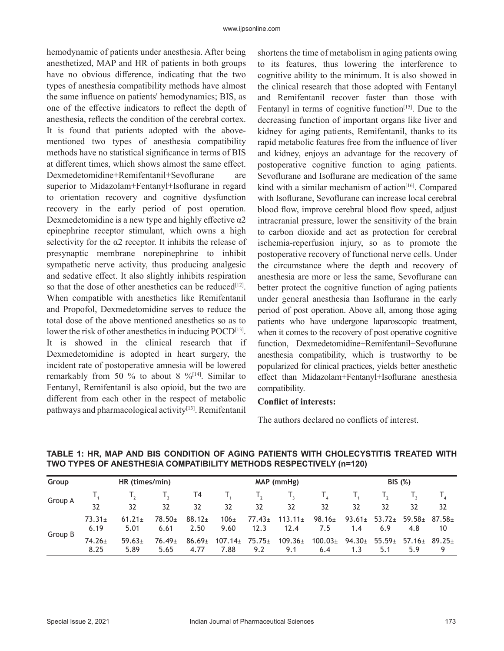hemodynamic of patients under anesthesia. After being anesthetized, MAP and HR of patients in both groups have no obvious difference, indicating that the two types of anesthesia compatibility methods have almost the same influence on patients' hemodynamics; BIS, as one of the effective indicators to reflect the depth of anesthesia, reflects the condition of the cerebral cortex. It is found that patients adopted with the abovementioned two types of anesthesia compatibility methods have no statistical significance in terms of BIS at different times, which shows almost the same effect. Dexmedetomidine+Remifentanil+Sevoflurane are superior to Midazolam+Fentanyl+Isoflurane in regard to orientation recovery and cognitive dysfunction recovery in the early period of post operation. Dexmedetomidine is a new type and highly effective  $\alpha$ 2 epinephrine receptor stimulant, which owns a high selectivity for the  $\alpha$ 2 receptor. It inhibits the release of presynaptic membrane norepinephrine to inhibit sympathetic nerve activity, thus producing analgesic and sedative effect. It also slightly inhibits respiration so that the dose of other anesthetics can be reduced $[12]$ . When compatible with anesthetics like Remifentanil and Propofol, Dexmedetomidine serves to reduce the total dose of the above mentioned anesthetics so as to lower the risk of other anesthetics in inducing POCD<sup>[13]</sup>. It is showed in the clinical research that if Dexmedetomidine is adopted in heart surgery, the incident rate of postoperative amnesia will be lowered remarkably from 50 % to about 8  $\frac{6}{14}$ . Similar to Fentanyl, Remifentanil is also opioid, but the two are different from each other in the respect of metabolic pathways and pharmacological activity $[13]$ . Remifentanil shortens the time of metabolism in aging patients owing to its features, thus lowering the interference to cognitive ability to the minimum. It is also showed in the clinical research that those adopted with Fentanyl and Remifentanil recover faster than those with Fentanyl in terms of cognitive function<sup>[15]</sup>. Due to the decreasing function of important organs like liver and kidney for aging patients, Remifentanil, thanks to its rapid metabolic features free from the influence of liver and kidney, enjoys an advantage for the recovery of postoperative cognitive function to aging patients. Sevoflurane and Isoflurane are medication of the same kind with a similar mechanism of action<sup>[16]</sup>. Compared with Isoflurane, Sevoflurane can increase local cerebral blood flow, improve cerebral blood flow speed, adjust intracranial pressure, lower the sensitivity of the brain to carbon dioxide and act as protection for cerebral ischemia-reperfusion injury, so as to promote the postoperative recovery of functional nerve cells. Under the circumstance where the depth and recovery of anesthesia are more or less the same, Sevoflurane can better protect the cognitive function of aging patients under general anesthesia than Isoflurane in the early period of post operation. Above all, among those aging patients who have undergone laparoscopic treatment, when it comes to the recovery of post operative cognitive function, Dexmedetomidine+Remifentanil+Sevoflurane anesthesia compatibility, which is trustworthy to be popularized for clinical practices, yields better anesthetic effect than Midazolam+Fentanyl+Isoflurane anesthesia compatibility.

#### **Conflict of interests:**

The authors declared no conflicts of interest.

| Group   | HR (times/min)      |                     |                     |                            | MAP (mmHg)           |                     |                      | <b>BIS (%)</b>      |                    |                    |                    |                |
|---------|---------------------|---------------------|---------------------|----------------------------|----------------------|---------------------|----------------------|---------------------|--------------------|--------------------|--------------------|----------------|
| Group A |                     |                     |                     | T4                         |                      | $\mathsf{L}_{2}$    |                      |                     |                    |                    |                    |                |
|         | 32                  | 32                  | 32                  | 32                         | 32                   | 32                  | 32                   | 32                  | 32                 | 32                 | 32                 | 32             |
| Group B | $73.31 \pm$<br>6.19 | $61.21 \pm$<br>5.01 | $78.50+$<br>6.61    | $88.12+$<br>2.50           | $106+$<br>9.60       | $77.43 \pm$<br>12.3 | $113.11 \pm$<br>12.4 | $98.16 \pm$<br>7.5  | $93.61 \pm$<br>1.4 | $53.72 \pm$<br>6.9 | $59.58 +$<br>4.8   | $87.58+$<br>10 |
|         | $74.26 \pm$<br>8.25 | $59.63+$<br>5.89    | $76.49 \pm$<br>5.65 | 86.69 <sub>±</sub><br>4.77 | $107.14 \pm$<br>7.88 | $75.75+$<br>9.2     | $109.36 \pm$<br>9.1  | $100.03 \pm$<br>6.4 | $94.30 \pm$<br>1.3 | $55.59 \pm$<br>5.1 | $57.16 \pm$<br>5.9 | $89.25+$       |

#### **TABLE 1: HR, MAP AND BIS CONDITION OF AGING PATIENTS WITH CHOLECYSTITIS TREATED WITH TWO TYPES OF ANESTHESIA COMPATIBILITY METHODS RESPECTIVELY (n=120)**